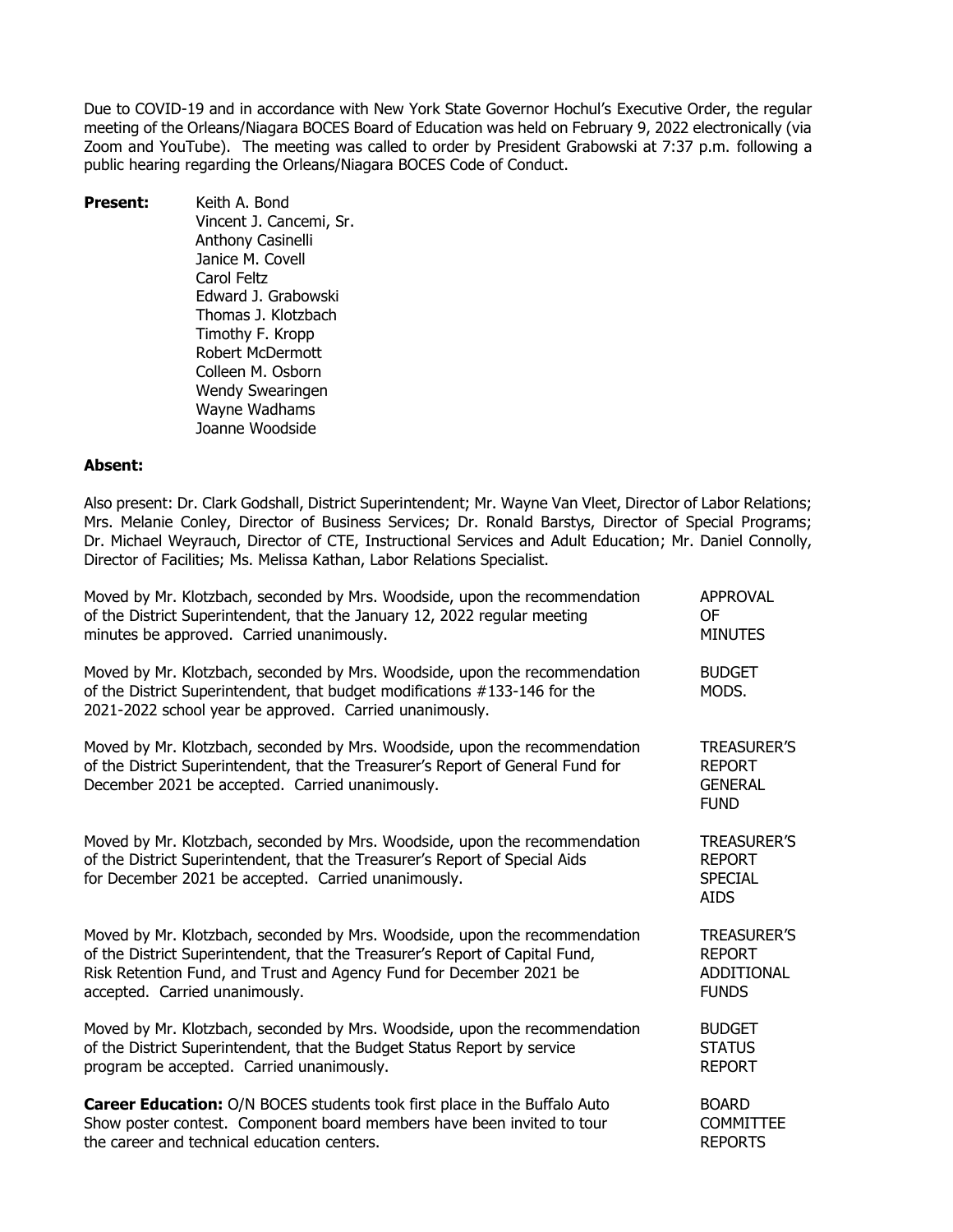Due to COVID-19 and in accordance with New York State Governor Hochul's Executive Order, the regular meeting of the Orleans/Niagara BOCES Board of Education was held on February 9, 2022 electronically (via Zoom and YouTube). The meeting was called to order by President Grabowski at 7:37 p.m. following a public hearing regarding the Orleans/Niagara BOCES Code of Conduct.

**Present:** Keith A. Bond Vincent J. Cancemi, Sr. Anthony Casinelli Janice M. Covell Carol Feltz Edward J. Grabowski Thomas J. Klotzbach Timothy F. Kropp Robert McDermott Colleen M. Osborn Wendy Swearingen Wayne Wadhams Joanne Woodside

### **Absent:**

Also present: Dr. Clark Godshall, District Superintendent; Mr. Wayne Van Vleet, Director of Labor Relations; Mrs. Melanie Conley, Director of Business Services; Dr. Ronald Barstys, Director of Special Programs; Dr. Michael Weyrauch, Director of CTE, Instructional Services and Adult Education; Mr. Daniel Connolly, Director of Facilities; Ms. Melissa Kathan, Labor Relations Specialist.

| Moved by Mr. Klotzbach, seconded by Mrs. Woodside, upon the recommendation                                                                                                                                          | <b>APPROVAL</b>                                                      |
|---------------------------------------------------------------------------------------------------------------------------------------------------------------------------------------------------------------------|----------------------------------------------------------------------|
| of the District Superintendent, that the January 12, 2022 regular meeting                                                                                                                                           | 0F                                                                   |
| minutes be approved. Carried unanimously.                                                                                                                                                                           | <b>MINUTES</b>                                                       |
| Moved by Mr. Klotzbach, seconded by Mrs. Woodside, upon the recommendation<br>of the District Superintendent, that budget modifications #133-146 for the<br>2021-2022 school year be approved. Carried unanimously. | <b>BUDGET</b><br>MODS.                                               |
| Moved by Mr. Klotzbach, seconded by Mrs. Woodside, upon the recommendation<br>of the District Superintendent, that the Treasurer's Report of General Fund for<br>December 2021 be accepted. Carried unanimously.    | <b>TREASURER'S</b><br><b>REPORT</b><br><b>GENERAL</b><br><b>FUND</b> |
| Moved by Mr. Klotzbach, seconded by Mrs. Woodside, upon the recommendation<br>of the District Superintendent, that the Treasurer's Report of Special Aids<br>for December 2021 be accepted. Carried unanimously.    | <b>TREASURER'S</b><br><b>REPORT</b><br><b>SPECIAL</b><br><b>AIDS</b> |
| Moved by Mr. Klotzbach, seconded by Mrs. Woodside, upon the recommendation                                                                                                                                          | <b>TREASURER'S</b>                                                   |
| of the District Superintendent, that the Treasurer's Report of Capital Fund,                                                                                                                                        | <b>REPORT</b>                                                        |
| Risk Retention Fund, and Trust and Agency Fund for December 2021 be                                                                                                                                                 | <b>ADDITIONAL</b>                                                    |
| accepted. Carried unanimously.                                                                                                                                                                                      | <b>FUNDS</b>                                                         |
| Moved by Mr. Klotzbach, seconded by Mrs. Woodside, upon the recommendation                                                                                                                                          | <b>BUDGET</b>                                                        |
| of the District Superintendent, that the Budget Status Report by service                                                                                                                                            | <b>STATUS</b>                                                        |
| program be accepted. Carried unanimously.                                                                                                                                                                           | <b>REPORT</b>                                                        |
| Career Education: O/N BOCES students took first place in the Buffalo Auto                                                                                                                                           | <b>BOARD</b>                                                         |
| Show poster contest. Component board members have been invited to tour                                                                                                                                              | <b>COMMITTEE</b>                                                     |
| the career and technical education centers.                                                                                                                                                                         | <b>REPORTS</b>                                                       |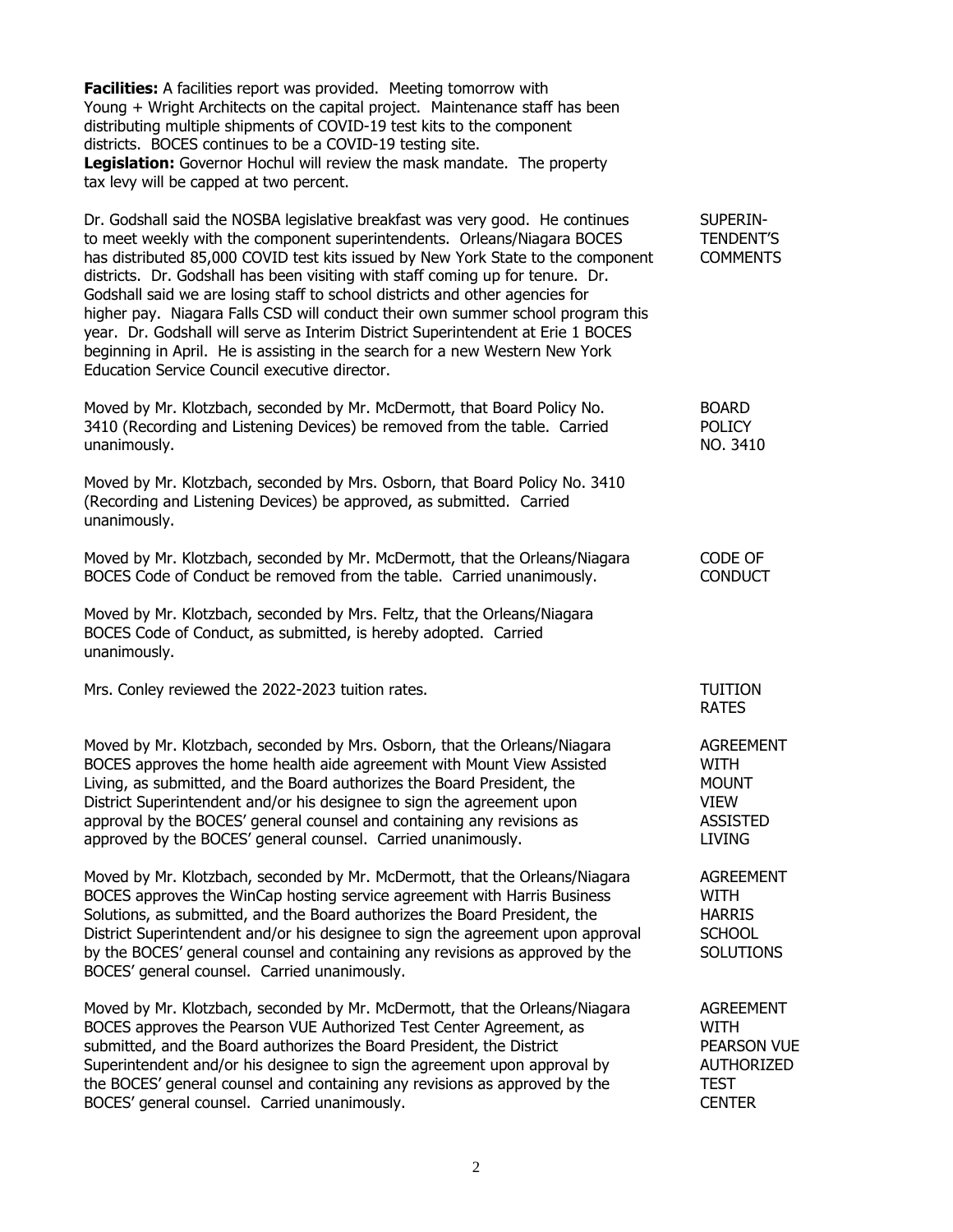**Facilities:** A facilities report was provided. Meeting tomorrow with Young + Wright Architects on the capital project. Maintenance staff has been distributing multiple shipments of COVID-19 test kits to the component districts. BOCES continues to be a COVID-19 testing site. **Legislation:** Governor Hochul will review the mask mandate. The property tax levy will be capped at two percent.

Dr. Godshall said the NOSBA legislative breakfast was very good. He continues SUPERINto meet weekly with the component superintendents. Orleans/Niagara BOCES TENDENT'S has distributed 85,000 COVID test kits issued by New York State to the component COMMENTS districts. Dr. Godshall has been visiting with staff coming up for tenure. Dr. Godshall said we are losing staff to school districts and other agencies for higher pay. Niagara Falls CSD will conduct their own summer school program this year. Dr. Godshall will serve as Interim District Superintendent at Erie 1 BOCES beginning in April. He is assisting in the search for a new Western New York Education Service Council executive director.

Moved by Mr. Klotzbach, seconded by Mr. McDermott, that Board Policy No. BOARD 3410 (Recording and Listening Devices) be removed from the table. Carried POLICY unanimously. Note that the contract of the contract of the contract of the contract of the contract of the contract of the contract of the contract of the contract of the contract of the contract of the contract of the con

Moved by Mr. Klotzbach, seconded by Mrs. Osborn, that Board Policy No. 3410 (Recording and Listening Devices) be approved, as submitted. Carried unanimously.

| Moved by Mr. Klotzbach, seconded by Mr. McDermott, that the Orleans/Niagara | CODE OF        |
|-----------------------------------------------------------------------------|----------------|
| BOCES Code of Conduct be removed from the table. Carried unanimously.       | <b>CONDUCT</b> |

Moved by Mr. Klotzbach, seconded by Mrs. Feltz, that the Orleans/Niagara BOCES Code of Conduct, as submitted, is hereby adopted. Carried unanimously.

Mrs. Conley reviewed the 2022-2023 tuition rates. TUITION

Moved by Mr. Klotzbach, seconded by Mrs. Osborn, that the Orleans/Niagara AGREEMENT BOCES approves the home health aide agreement with Mount View Assisted WITH Living, as submitted, and the Board authorizes the Board President, the MOUNT District Superintendent and/or his designee to sign the agreement upon VIEW approval by the BOCES' general counsel and containing any revisions as ASSISTED approved by the BOCES' general counsel. Carried unanimously. LIVING

Moved by Mr. Klotzbach, seconded by Mr. McDermott, that the Orleans/Niagara AGREEMENT BOCES approves the WinCap hosting service agreement with Harris Business WITH Solutions, as submitted, and the Board authorizes the Board President, the HARRIS District Superintendent and/or his designee to sign the agreement upon approval SCHOOL by the BOCES' general counsel and containing any revisions as approved by the SOLUTIONS BOCES' general counsel. Carried unanimously.

Moved by Mr. Klotzbach, seconded by Mr. McDermott, that the Orleans/Niagara AGREEMENT BOCES approves the Pearson VUE Authorized Test Center Agreement, as WITH submitted, and the Board authorizes the Board President, the District PEARSON VUE Superintendent and/or his designee to sign the agreement upon approval by AUTHORIZED the BOCES' general counsel and containing any revisions as approved by the TEST BOCES' general counsel. Carried unanimously. CENTER

RATES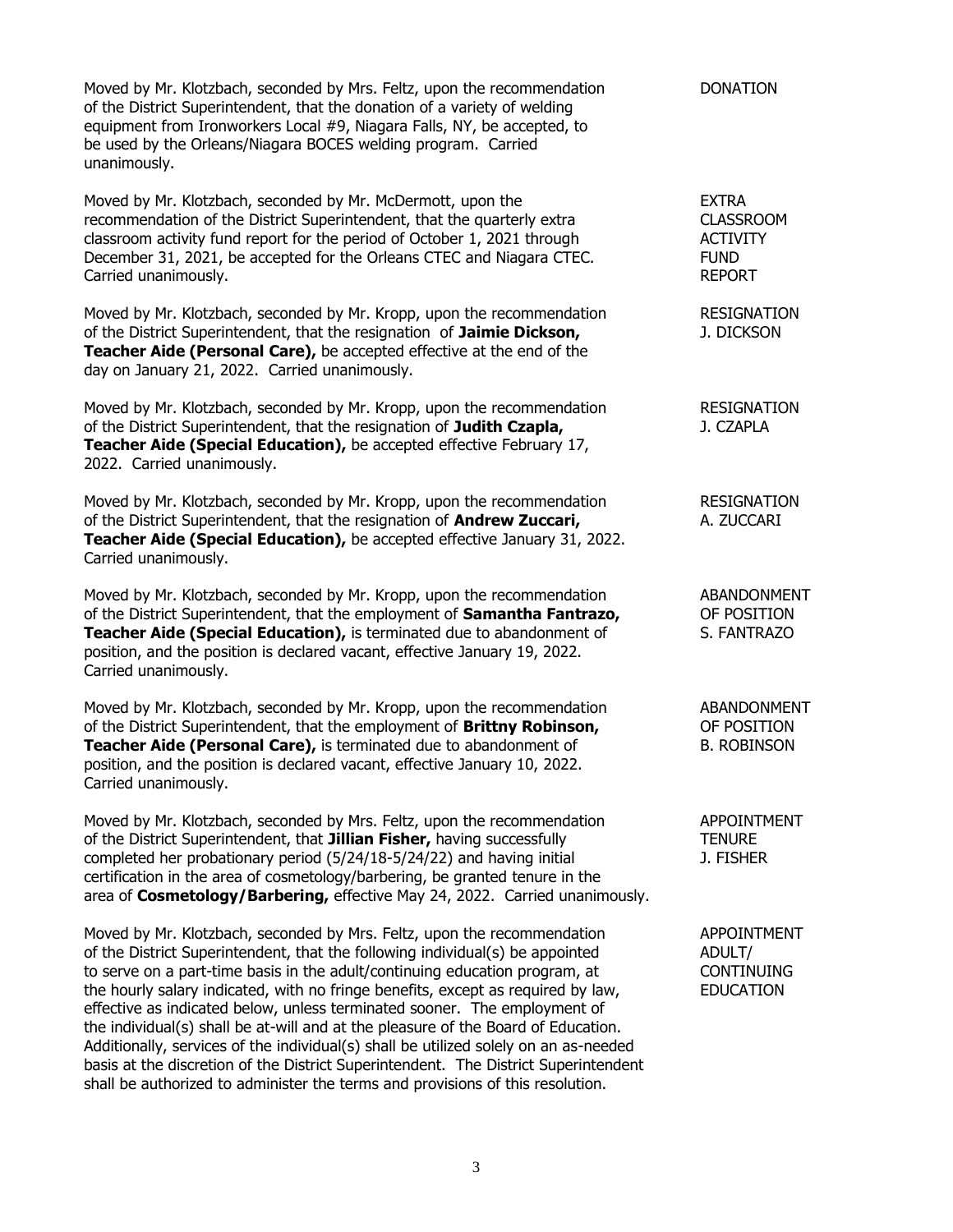Moved by Mr. Klotzbach, seconded by Mrs. Feltz, upon the recommendation DONATION of the District Superintendent, that the donation of a variety of welding equipment from Ironworkers Local #9, Niagara Falls, NY, be accepted, to be used by the Orleans/Niagara BOCES welding program. Carried unanimously.

Moved by Mr. Klotzbach, seconded by Mr. McDermott, upon the EXTRA recommendation of the District Superintendent, that the quarterly extra CLASSROOM classroom activity fund report for the period of October 1, 2021 through ACTIVITY December 31, 2021, be accepted for the Orleans CTEC and Niagara CTEC. FUND Carried unanimously. REPORT

Moved by Mr. Klotzbach, seconded by Mr. Kropp, upon the recommendation RESIGNATION of the District Superintendent, that the resignation of **Jaimie Dickson,** J. DICKSON **Teacher Aide (Personal Care),** be accepted effective at the end of the day on January 21, 2022. Carried unanimously.

Moved by Mr. Klotzbach, seconded by Mr. Kropp, upon the recommendation RESIGNATION of the District Superintendent, that the resignation of **Judith Czapla,** J. CZAPLA **Teacher Aide (Special Education),** be accepted effective February 17, 2022. Carried unanimously.

Moved by Mr. Klotzbach, seconded by Mr. Kropp, upon the recommendation RESIGNATION of the District Superintendent, that the resignation of **Andrew Zuccari,** A. ZUCCARI **Teacher Aide (Special Education),** be accepted effective January 31, 2022. Carried unanimously.

Moved by Mr. Klotzbach, seconded by Mr. Kropp, upon the recommendation ABANDONMENT of the District Superintendent, that the employment of **Samantha Fantrazo,** OF POSITION **Teacher Aide (Special Education),** is terminated due to abandonment of S. FANTRAZO position, and the position is declared vacant, effective January 19, 2022. Carried unanimously.

Moved by Mr. Klotzbach, seconded by Mr. Kropp, upon the recommendation ABANDONMENT of the District Superintendent, that the employment of **Brittny Robinson,** OF POSITION **Teacher Aide (Personal Care),** is terminated due to abandonment of B. ROBINSON position, and the position is declared vacant, effective January 10, 2022. Carried unanimously.

Moved by Mr. Klotzbach, seconded by Mrs. Feltz, upon the recommendation APPOINTMENT of the District Superintendent, that **Jillian Fisher,** having successfully TENURE completed her probationary period (5/24/18-5/24/22) and having initial J. FISHER certification in the area of cosmetology/barbering, be granted tenure in the area of **Cosmetology/Barbering,** effective May 24, 2022. Carried unanimously.

Moved by Mr. Klotzbach, seconded by Mrs. Feltz, upon the recommendation APPOINTMENT of the District Superintendent, that the following individual(s) be appointed ADULT/ to serve on a part-time basis in the adult/continuing education program, at CONTINUING the hourly salary indicated, with no fringe benefits, except as required by law, EDUCATION effective as indicated below, unless terminated sooner. The employment of the individual(s) shall be at-will and at the pleasure of the Board of Education. Additionally, services of the individual(s) shall be utilized solely on an as-needed basis at the discretion of the District Superintendent. The District Superintendent shall be authorized to administer the terms and provisions of this resolution.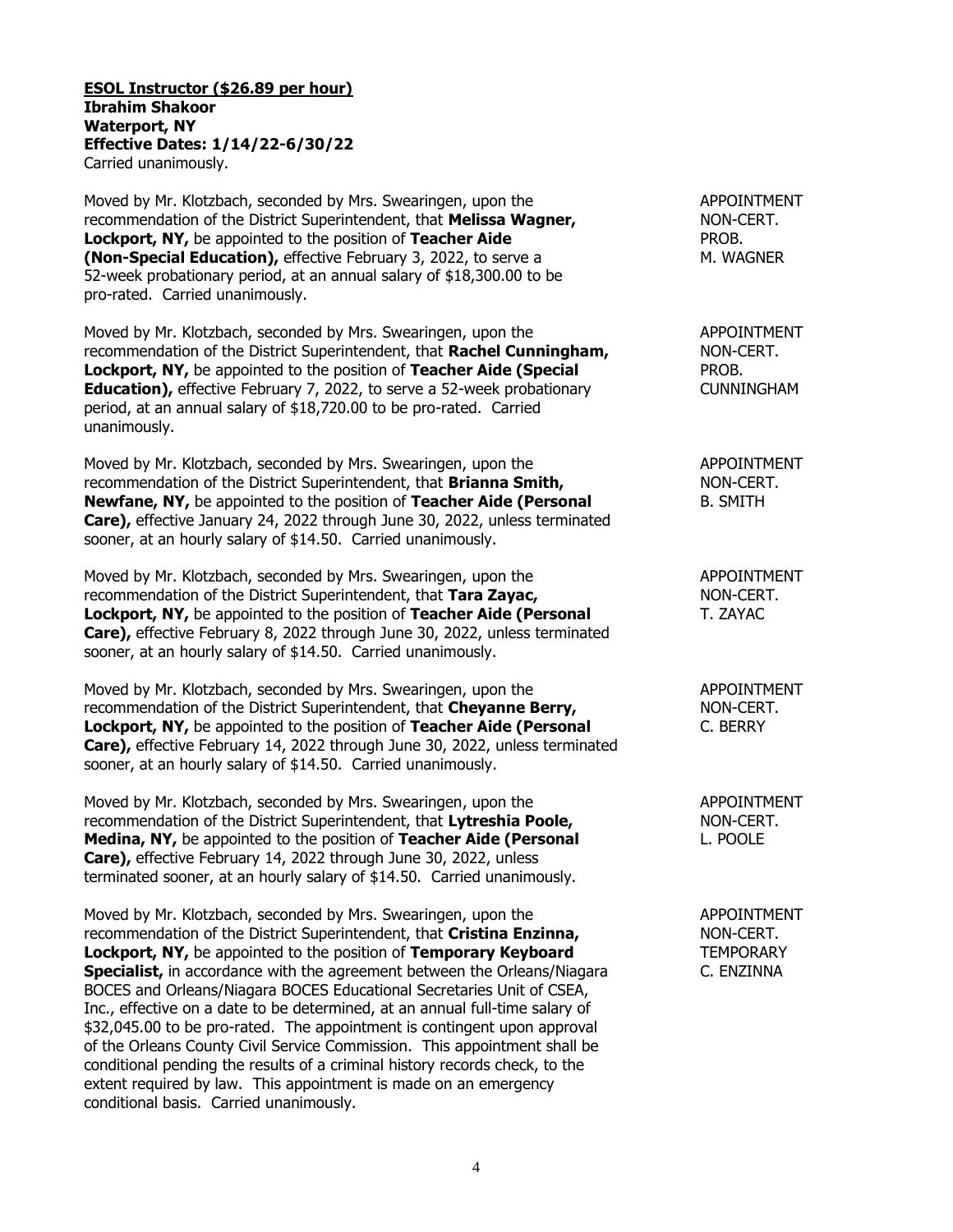**ESOL Instructor (\$26.89 per hour) Ibrahim Shakoor Waterport, NY Effective Dates: 1/14/22-6/30/22** Carried unanimously.

Moved by Mr. Klotzbach, seconded by Mrs. Swearingen, upon the APPOINTMENT recommendation of the District Superintendent, that **Melissa Wagner,** NON-CERT. **Lockport, NY,** be appointed to the position of **Teacher Aide PROB. (Non-Special Education),** effective February 3, 2022, to serve a M. WAGNER 52-week probationary period, at an annual salary of \$18,300.00 to be pro-rated. Carried unanimously.

Moved by Mr. Klotzbach, seconded by Mrs. Swearingen, upon the APPOINTMENT recommendation of the District Superintendent, that **Rachel Cunningham,** NON-CERT. **Lockport, NY,** be appointed to the position of **Teacher Aide (Special** PROB. **Education),** effective February 7, 2022, to serve a 52-week probationary CUNNINGHAM period, at an annual salary of \$18,720.00 to be pro-rated. Carried unanimously.

Moved by Mr. Klotzbach, seconded by Mrs. Swearingen, upon the APPOINTMENT recommendation of the District Superintendent, that **Brianna Smith,** NON-CERT. **Newfane, NY,** be appointed to the position of **Teacher Aide (Personal B. SMITH Care),** effective January 24, 2022 through June 30, 2022, unless terminated sooner, at an hourly salary of \$14.50. Carried unanimously.

Moved by Mr. Klotzbach, seconded by Mrs. Swearingen, upon the APPOINTMENT recommendation of the District Superintendent, that **Tara Zayac,** NON-CERT. **Lockport, NY,** be appointed to the position of **Teacher Aide (Personal** T. ZAYAC **Care),** effective February 8, 2022 through June 30, 2022, unless terminated sooner, at an hourly salary of \$14.50. Carried unanimously.

Moved by Mr. Klotzbach, seconded by Mrs. Swearingen, upon the APPOINTMENT recommendation of the District Superintendent, that **Cheyanne Berry,** NON-CERT. **Lockport, NY,** be appointed to the position of **Teacher Aide (Personal C. BERRY Care),** effective February 14, 2022 through June 30, 2022, unless terminated sooner, at an hourly salary of \$14.50. Carried unanimously.

Moved by Mr. Klotzbach, seconded by Mrs. Swearingen, upon the APPOINTMENT recommendation of the District Superintendent, that Lytreshia Poole, MON-CERT. **Medina, NY,** be appointed to the position of **Teacher Aide (Personal** L. POOLE **Care),** effective February 14, 2022 through June 30, 2022, unless terminated sooner, at an hourly salary of \$14.50. Carried unanimously.

Moved by Mr. Klotzbach, seconded by Mrs. Swearingen, upon the APPOINTMENT recommendation of the District Superintendent, that **Cristina Enzinna,** NON-CERT. **Lockport, NY,** be appointed to the position of **Temporary Keyboard** TEMPORARY **Specialist,** in accordance with the agreement between the Orleans/Niagara C. ENZINNA BOCES and Orleans/Niagara BOCES Educational Secretaries Unit of CSEA, Inc., effective on a date to be determined, at an annual full-time salary of \$32,045.00 to be pro-rated. The appointment is contingent upon approval of the Orleans County Civil Service Commission. This appointment shall be conditional pending the results of a criminal history records check, to the extent required by law. This appointment is made on an emergency conditional basis. Carried unanimously.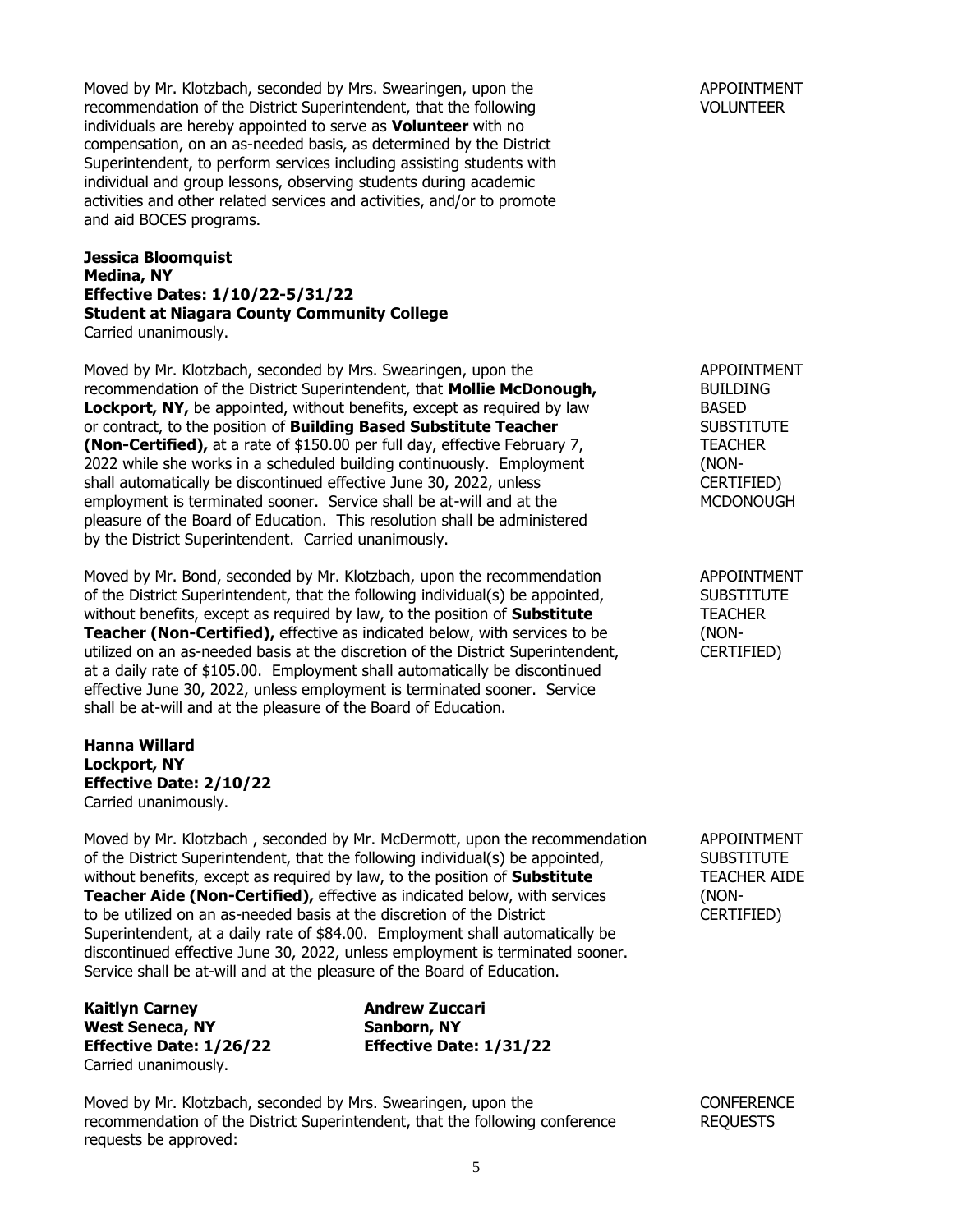Moved by Mr. Klotzbach, seconded by Mrs. Swearingen, upon the APPOINTMENT recommendation of the District Superintendent, that the following variable volunt FCR VOLUNTEER individuals are hereby appointed to serve as **Volunteer** with no compensation, on an as-needed basis, as determined by the District Superintendent, to perform services including assisting students with individual and group lessons, observing students during academic activities and other related services and activities, and/or to promote and aid BOCES programs.

# **Jessica Bloomquist Medina, NY Effective Dates: 1/10/22-5/31/22 Student at Niagara County Community College** Carried unanimously.

Moved by Mr. Klotzbach, seconded by Mrs. Swearingen, upon the APPOINTMENT recommendation of the District Superintendent, that **Mollie McDonough,** BUILDING **Lockport, NY,** be appointed, without benefits, except as required by law BASED or contract, to the position of **Building Based Substitute Teacher** SUBSTITUTE **(Non-Certified),** at a rate of \$150.00 per full day, effective February 7, TEACHER 2022 while she works in a scheduled building continuously. Employment (NONshall automatically be discontinued effective June 30, 2022, unless CERTIFIED) employment is terminated sooner. Service shall be at-will and at the MCDONOUGH pleasure of the Board of Education. This resolution shall be administered by the District Superintendent. Carried unanimously.

Moved by Mr. Bond, seconded by Mr. Klotzbach, upon the recommendation APPOINTMENT of the District Superintendent, that the following individual(s) be appointed, SUBSTITUTE without benefits, except as required by law, to the position of **Substitute** TEACHER **Teacher (Non-Certified),** effective as indicated below, with services to be (NONutilized on an as-needed basis at the discretion of the District Superintendent, CERTIFIED) at a daily rate of \$105.00. Employment shall automatically be discontinued effective June 30, 2022, unless employment is terminated sooner. Service shall be at-will and at the pleasure of the Board of Education.

## **Hanna Willard Lockport, NY Effective Date: 2/10/22** Carried unanimously.

Moved by Mr. Klotzbach , seconded by Mr. McDermott, upon the recommendation APPOINTMENT of the District Superintendent, that the following individual(s) be appointed, SUBSTITUTE without benefits, except as required by law, to the position of **Substitute** TEACHER AIDE **Teacher Aide (Non-Certified),** effective as indicated below, with services (NONto be utilized on an as-needed basis at the discretion of the District CERTIFIED) Superintendent, at a daily rate of \$84.00. Employment shall automatically be discontinued effective June 30, 2022, unless employment is terminated sooner. Service shall be at-will and at the pleasure of the Board of Education.

**Kaitlyn Carney Andrew Zuccari West Seneca, NY Sanborn, NY** Carried unanimously.

**Effective Date: 1/26/22 Effective Date: 1/31/22**

Moved by Mr. Klotzbach, seconded by Mrs. Swearingen, upon the CONFERENCE recommendation of the District Superintendent, that the following conference REQUESTS requests be approved: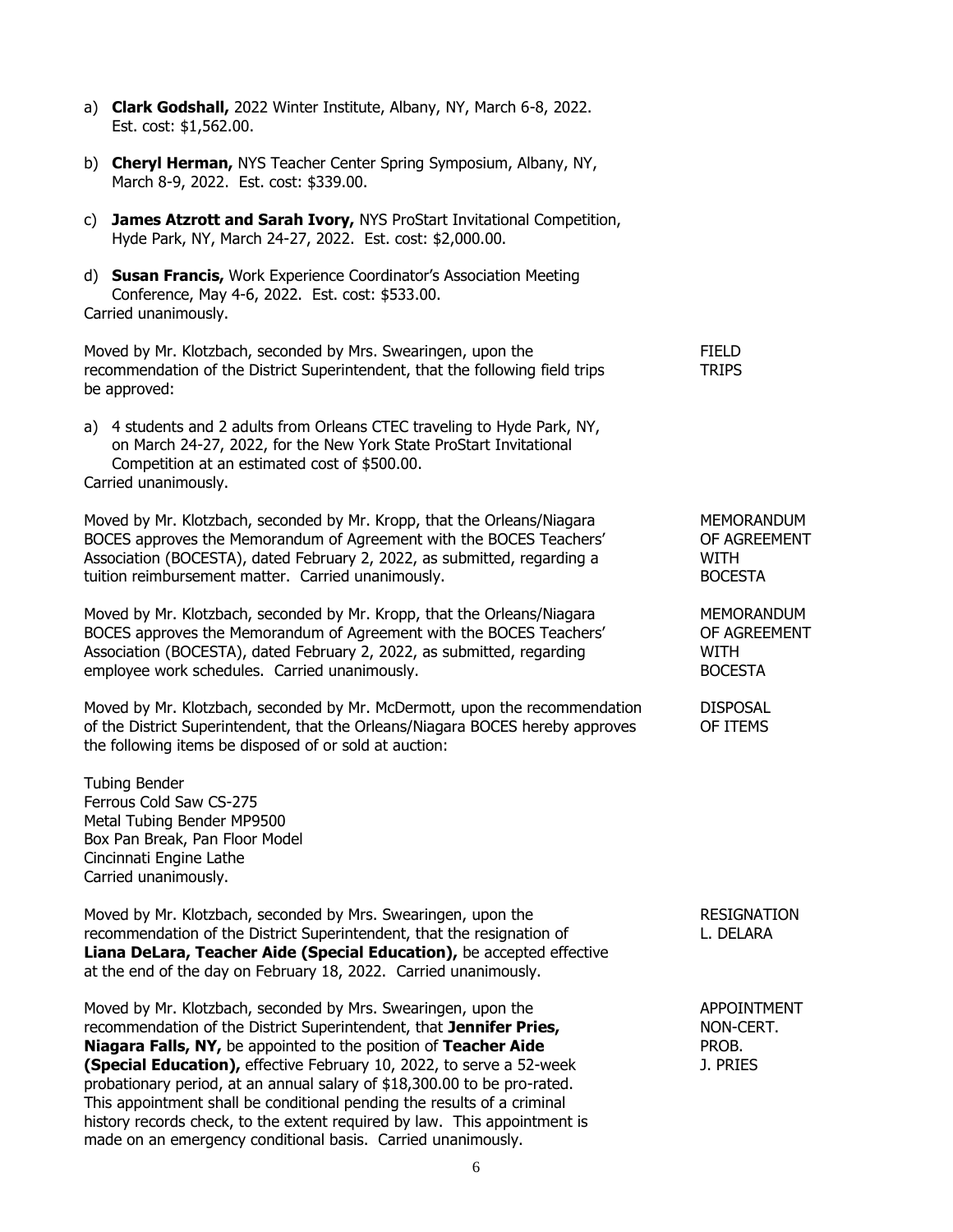- a) **Clark Godshall,** 2022 Winter Institute, Albany, NY, March 6-8, 2022. Est. cost: \$1,562.00.
- b) **Cheryl Herman,** NYS Teacher Center Spring Symposium, Albany, NY, March 8-9, 2022. Est. cost: \$339.00.
- c) **James Atzrott and Sarah Ivory,** NYS ProStart Invitational Competition, Hyde Park, NY, March 24-27, 2022. Est. cost: \$2,000.00.
- d) **Susan Francis,** Work Experience Coordinator's Association Meeting Conference, May 4-6, 2022. Est. cost: \$533.00. Carried unanimously.

Moved by Mr. Klotzbach, seconded by Mrs. Swearingen, upon the FIELD recommendation of the District Superintendent, that the following field trips TRIPS be approved:

a) 4 students and 2 adults from Orleans CTEC traveling to Hyde Park, NY, on March 24-27, 2022, for the New York State ProStart Invitational Competition at an estimated cost of \$500.00. Carried unanimously.

Moved by Mr. Klotzbach, seconded by Mr. Kropp, that the Orleans/Niagara MEMORANDUM BOCES approves the Memorandum of Agreement with the BOCES Teachers' OF AGREEMENT Association (BOCESTA), dated February 2, 2022, as submitted, regarding a WITH tuition reimbursement matter. Carried unanimously. The matter of the BOCESTA

Moved by Mr. Klotzbach, seconded by Mr. Kropp, that the Orleans/Niagara MEMORANDUM BOCES approves the Memorandum of Agreement with the BOCES Teachers' OF AGREEMENT Association (BOCESTA), dated February 2, 2022, as submitted, regarding WITH employee work schedules. Carried unanimously. The state of the settlement of the BOCESTA

Moved by Mr. Klotzbach, seconded by Mr. McDermott, upon the recommendation DISPOSAL of the District Superintendent, that the Orleans/Niagara BOCES hereby approves OF ITEMS the following items be disposed of or sold at auction:

Tubing Bender Ferrous Cold Saw CS-275 Metal Tubing Bender MP9500 Box Pan Break, Pan Floor Model Cincinnati Engine Lathe Carried unanimously.

Moved by Mr. Klotzbach, seconded by Mrs. Swearingen, upon the RESIGNATION recommendation of the District Superintendent, that the resignation of The Music Research L. DELARA **Liana DeLara, Teacher Aide (Special Education),** be accepted effective at the end of the day on February 18, 2022. Carried unanimously.

Moved by Mr. Klotzbach, seconded by Mrs. Swearingen, upon the APPOINTMENT recommendation of the District Superintendent, that **Jennifer Pries,** NON-CERT. **Niagara Falls, NY,** be appointed to the position of **Teacher Aide** PROB. **(Special Education),** effective February 10, 2022, to serve a 52-week J. PRIES probationary period, at an annual salary of \$18,300.00 to be pro-rated. This appointment shall be conditional pending the results of a criminal history records check, to the extent required by law. This appointment is made on an emergency conditional basis. Carried unanimously.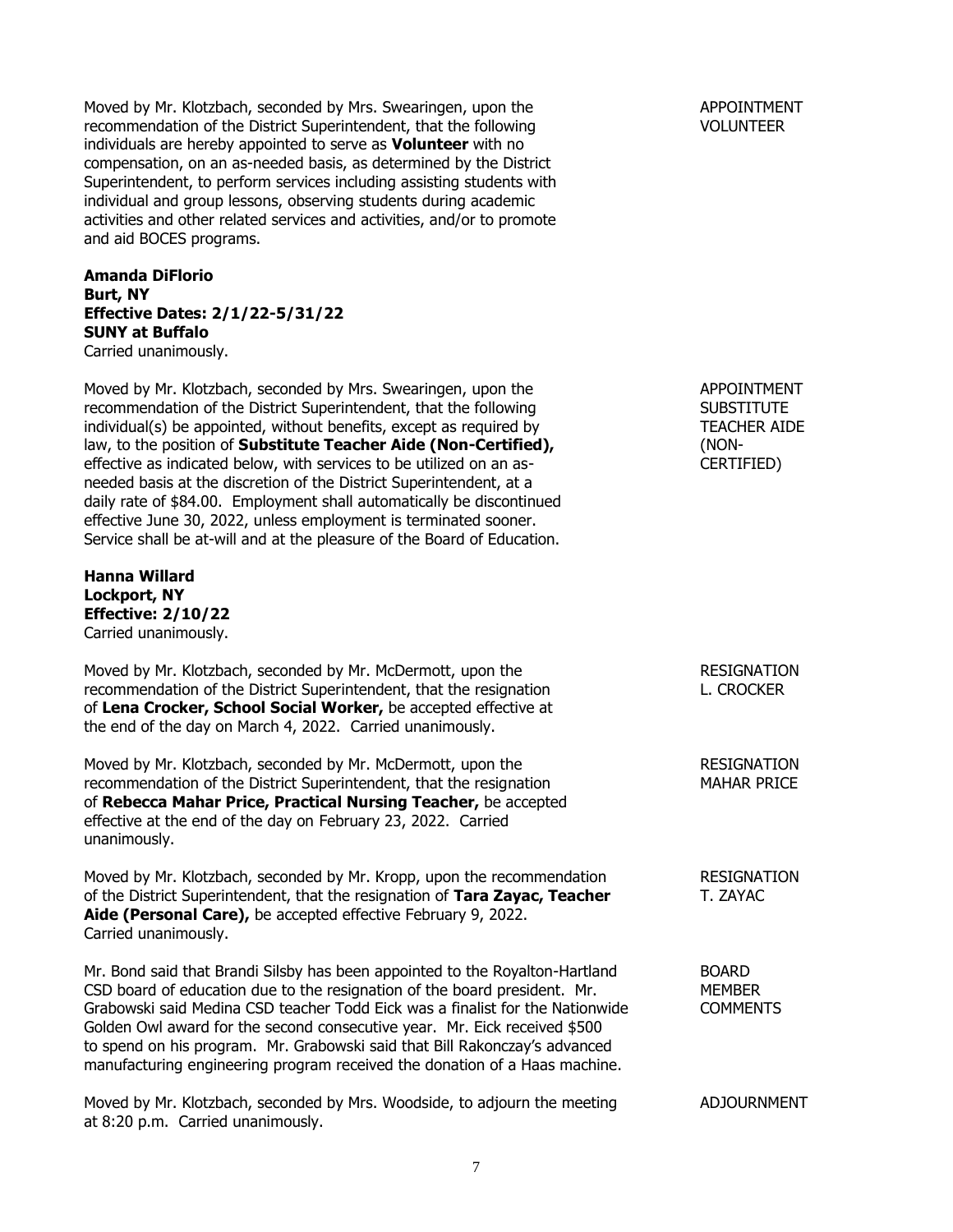Moved by Mr. Klotzbach, seconded by Mrs. Swearingen, upon the APPOINTMENT recommendation of the District Superintendent, that the following VOLUNTEER individuals are hereby appointed to serve as **Volunteer** with no compensation, on an as-needed basis, as determined by the District Superintendent, to perform services including assisting students with individual and group lessons, observing students during academic activities and other related services and activities, and/or to promote and aid BOCES programs.

**Amanda DiFlorio Burt, NY Effective Dates: 2/1/22-5/31/22 SUNY at Buffalo** Carried unanimously.

Moved by Mr. Klotzbach, seconded by Mrs. Swearingen, upon the APPOINTMENT recommendation of the District Superintendent, that the following SUBSTITUTE individual(s) be appointed, without benefits, except as required by TEACHER AIDE law, to the position of **Substitute Teacher Aide (Non-Certified),** (NONeffective as indicated below, with services to be utilized on an as- CERTIFIED) needed basis at the discretion of the District Superintendent, at a daily rate of \$84.00. Employment shall automatically be discontinued effective June 30, 2022, unless employment is terminated sooner. Service shall be at-will and at the pleasure of the Board of Education.

**Hanna Willard Lockport, NY Effective: 2/10/22** Carried unanimously.

Moved by Mr. Klotzbach, seconded by Mr. McDermott, upon the RESIGNATION recommendation of the District Superintendent, that the resignation L. CROCKER of **Lena Crocker, School Social Worker,** be accepted effective at the end of the day on March 4, 2022. Carried unanimously.

Moved by Mr. Klotzbach, seconded by Mr. McDermott, upon the RESIGNATION recommendation of the District Superintendent, that the resignation MAHAR PRICE of **Rebecca Mahar Price, Practical Nursing Teacher,** be accepted effective at the end of the day on February 23, 2022. Carried unanimously.

Moved by Mr. Klotzbach, seconded by Mr. Kropp, upon the recommendation RESIGNATION of the District Superintendent, that the resignation of **Tara Zayac, Teacher** T. ZAYAC **Aide (Personal Care),** be accepted effective February 9, 2022. Carried unanimously.

Mr. Bond said that Brandi Silsby has been appointed to the Royalton-Hartland BOARD CSD board of education due to the resignation of the board president. Mr. MEMBER Grabowski said Medina CSD teacher Todd Eick was a finalist for the Nationwide COMMENTS Golden Owl award for the second consecutive year. Mr. Eick received \$500 to spend on his program. Mr. Grabowski said that Bill Rakonczay's advanced manufacturing engineering program received the donation of a Haas machine.

Moved by Mr. Klotzbach, seconded by Mrs. Woodside, to adjourn the meeting ADJOURNMENT at 8:20 p.m. Carried unanimously.